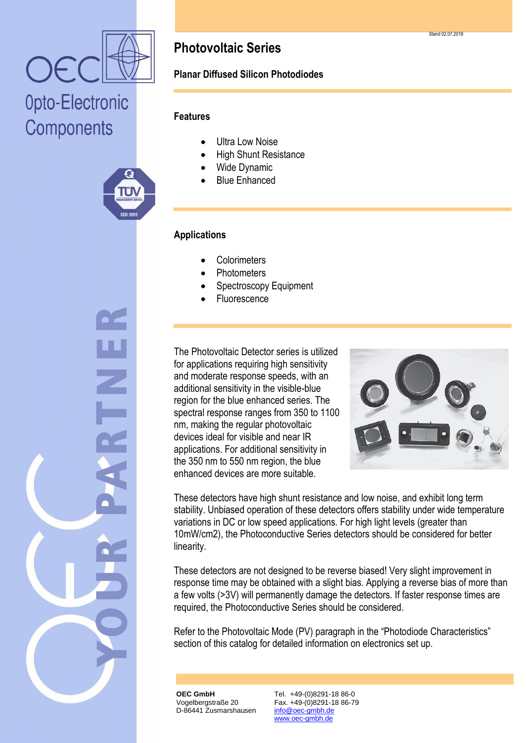

## Opto-Electronic Components



### **Photovoltaic Series**

### **Planar Diffused Silicon Photodiodes**

#### **Features**

- Ultra Low Noise
- High Shunt Resistance
- Wide Dynamic
- Blue Enhanced

#### **Applications**

- **Colorimeters**
- **Photometers**
- Spectroscopy Equipment
- Fluorescence

The Photovoltaic Detector series is utilized for applications requiring high sensitivity and moderate response speeds, with an additional sensitivity in the visible-blue region for the blue enhanced series. The spectral response ranges from 350 to 1100 nm, making the regular photovoltaic devices ideal for visible and near IR applications. For additional sensitivity in the 350 nm to 550 nm region, the blue enhanced devices are more suitable.



These detectors have high shunt resistance and low noise, and exhibit long term stability. Unbiased operation of these detectors offers stability under wide temperature variations in DC or low speed applications. For high light levels (greater than 10mW/cm2), the Photoconductive Series detectors should be considered for better linearity.

These detectors are not designed to be reverse biased! Very slight improvement in response time may be obtained with a slight bias. Applying a reverse bias of more than a few volts (>3V) will permanently damage the detectors. If faster response times are required, the Photoconductive Series should be considered.

Refer to the Photovoltaic Mode (PV) paragraph in the "Photodiode Characteristics" section of this catalog for detailed information on electronics set up.

**OEC GmbH** Vogelbergstraße 20 D-86441 Zusmarshausen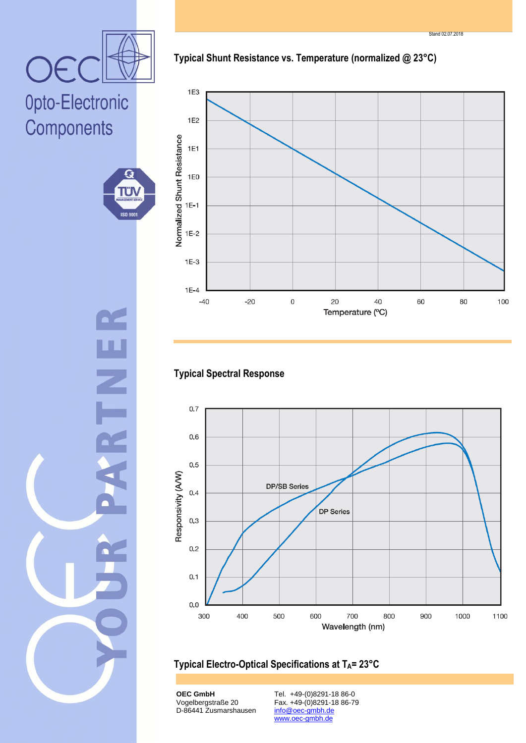Stand 02.07.2018



Opto-Electronic Components



**Typical Shunt Resistance vs. Temperature (normalized @ 23°C)**



#### **Typical Spectral Response**



#### **Typical Electro-Optical Specifications at TA= 23°C**

**OEC GmbH** Vogelbergstraße 20 D-86441 Zusmarshausen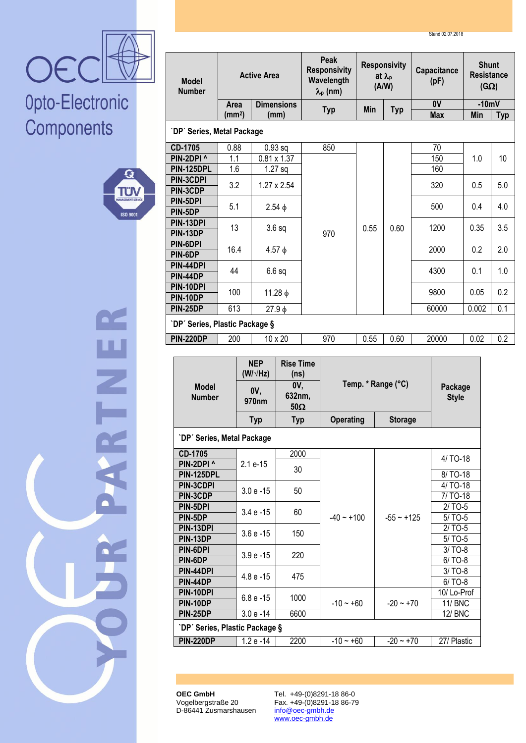Stand 02.07.2018



## Opto-Electronic Components



W<br>N<br>⊂

| <b>Model</b><br><b>Number</b>                      |                    | <b>Active Area</b>            |                          | Peak<br><b>Responsivity</b><br>Wavelength<br>$\lambda_{p}$ (nm) |      | <b>Responsivity</b><br>at $\lambda_{p}$<br>(A/W) |  | Capacitance<br>(pF)   | <b>Shunt</b><br>Resistance<br>$(G\Omega)$ |                 |
|----------------------------------------------------|--------------------|-------------------------------|--------------------------|-----------------------------------------------------------------|------|--------------------------------------------------|--|-----------------------|-------------------------------------------|-----------------|
|                                                    | Area               |                               | <b>Dimensions</b>        | <b>Typ</b>                                                      | Min  | <b>Typ</b>                                       |  | 0V                    | $-10mV$                                   |                 |
|                                                    | (mm <sup>2</sup> ) |                               | (mm)                     |                                                                 |      |                                                  |  | <b>Max</b>            | Min                                       | <b>Typ</b>      |
| `DP' Series, Metal Package                         |                    |                               |                          |                                                                 |      |                                                  |  |                       |                                           |                 |
| CD-1705                                            | 0.88               |                               | $0.93$ sq                | 850                                                             |      |                                                  |  | 70                    |                                           |                 |
| PIN-2DPI ^                                         | 1.1                |                               | $0.81 \times 1.37$       |                                                                 |      |                                                  |  | 150                   | 1.0                                       | 10 <sup>1</sup> |
| PIN-125DPL                                         | 1.6                |                               | $1.27$ sq                |                                                                 |      |                                                  |  | 160                   |                                           |                 |
| PIN-3CDPI<br>PIN-3CDP                              | 3.2                |                               | $1.27 \times 2.54$       |                                                                 |      |                                                  |  | 320<br>0.5            |                                           | 5.0             |
| PIN-5DPI                                           |                    |                               |                          |                                                                 |      |                                                  |  |                       |                                           |                 |
| PIN-5DP                                            | 5.1                |                               | $2.54 \phi$              |                                                                 |      |                                                  |  | 500                   | 0.4                                       | 4.0             |
| PIN-13DPI                                          | 13                 |                               | 3.6 <sub>sq</sub>        |                                                                 | 0.55 | 0.60                                             |  | 1200                  | 0.35                                      | 3.5             |
| PIN-13DP                                           |                    |                               |                          | 970                                                             |      |                                                  |  |                       |                                           |                 |
| PIN-6DPI<br>PIN-6DP                                | 16.4               |                               | $4.57 \phi$              |                                                                 |      |                                                  |  | 2000                  | 0.2                                       | 2.0             |
| PIN-44DPI                                          |                    |                               |                          |                                                                 |      |                                                  |  |                       |                                           |                 |
| PIN-44DP                                           | 44                 |                               | $6.6$ sq                 |                                                                 |      |                                                  |  | 4300                  | 0.1                                       | 1.0             |
| PIN-10DPI                                          | 100                |                               | $11.28$ φ                |                                                                 |      |                                                  |  | 9800                  | 0.05                                      | 0.2             |
| PIN-10DP                                           |                    |                               |                          |                                                                 |      |                                                  |  |                       |                                           |                 |
| <b>PIN-25DP</b>                                    | 613                |                               | $27.9\phi$               |                                                                 |      |                                                  |  | 60000                 | 0.002                                     | 0.1             |
| `DP' Series, Plastic Package §                     |                    |                               |                          |                                                                 |      |                                                  |  |                       |                                           |                 |
| <b>PIN-220DP</b>                                   | 200                |                               | 10 x 20                  | 970                                                             | 0.55 | 0.60                                             |  | 20000                 | 0.02                                      | 0.2             |
|                                                    |                    |                               |                          |                                                                 |      |                                                  |  |                       |                                           |                 |
|                                                    |                    | <b>NEP</b><br>$(W/\sqrt{Hz})$ | <b>Rise Time</b><br>(ns) |                                                                 |      |                                                  |  |                       |                                           |                 |
| <b>Model</b>                                       |                    |                               | 0V,                      |                                                                 |      | Temp. * Range (°C)                               |  | Package               |                                           |                 |
| <b>Number</b>                                      |                    | 0V,<br>970nm                  | 632nm,                   |                                                                 |      |                                                  |  |                       |                                           |                 |
|                                                    |                    |                               |                          |                                                                 |      |                                                  |  | <b>Style</b>          |                                           |                 |
|                                                    |                    |                               | $50\Omega$               |                                                                 |      |                                                  |  |                       |                                           |                 |
|                                                    |                    | <b>Typ</b>                    | <b>Typ</b>               | <b>Operating</b>                                                |      | <b>Storage</b>                                   |  |                       |                                           |                 |
| `DP' Series, Metal Package                         |                    |                               |                          |                                                                 |      |                                                  |  |                       |                                           |                 |
| CD-1705                                            |                    |                               | 2000                     |                                                                 |      |                                                  |  |                       |                                           |                 |
| PIN-2DPI ^                                         |                    | 2.1 e-15                      |                          |                                                                 |      |                                                  |  | 4/ TO-18              |                                           |                 |
| PIN-125DPL                                         |                    |                               | 30                       |                                                                 |      |                                                  |  | 8/ TO-18              |                                           |                 |
| PIN-3CDPI                                          |                    | $3.0 e - 15$                  | 50                       |                                                                 |      |                                                  |  | 4/ TO-18              |                                           |                 |
| PIN-3CDP<br>PIN-5DPI                               |                    |                               |                          |                                                                 |      |                                                  |  | 7/ TO-18<br>$2/$ TO-5 |                                           |                 |
| PIN-5DP                                            |                    | $3.4 e - 15$                  | 60                       | $-40 - +100$                                                    |      | $-55 - +125$                                     |  | $5/$ TO-5             |                                           |                 |
| PIN-13DPI                                          |                    |                               |                          |                                                                 |      |                                                  |  | $2/TO-5$              |                                           |                 |
| PIN-13DP                                           |                    | $3.6 e - 15$                  | 150                      |                                                                 |      |                                                  |  | $5/TO-5$              |                                           |                 |
| PIN-6DPI                                           |                    | $3.9e - 15$                   | 220                      |                                                                 |      |                                                  |  | $3/TO-8$              |                                           |                 |
| PIN-6DP<br>PIN-44DPI                               |                    |                               |                          |                                                                 |      |                                                  |  | $6/TO-8$<br>$3/TO-8$  |                                           |                 |
| PIN-44DP                                           |                    | 4.8 e -15                     | 475                      |                                                                 |      |                                                  |  | $6/TO-8$              |                                           |                 |
| PIN-10DPI                                          |                    |                               |                          |                                                                 |      |                                                  |  | 10/Lo-Prof            |                                           |                 |
| PIN-10DP                                           |                    | $6.8 e - 15$                  | 1000                     | $-10 - +60$                                                     |      | $-20 - +70$                                      |  | 11/ BNC               |                                           |                 |
| PIN-25DP                                           |                    | $3.0 e - 14$                  | 6600                     |                                                                 |      |                                                  |  | <b>12/ BNC</b>        |                                           |                 |
| `DP' Series, Plastic Package §<br><b>PIN-220DP</b> |                    | 1.2 e -14                     | 2200                     | $-10 - +60$                                                     |      | $-20 - +70$                                      |  | 27/ Plastic           |                                           |                 |

**Peak**

**OEC GmbH** Vogelbergstraße 20 D-86441 Zusmarshausen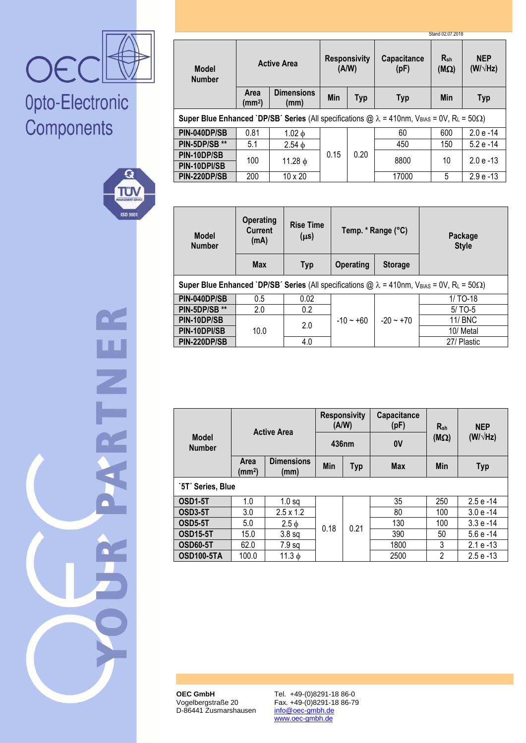

# Opto-Electronic Components



H<br>Z<br>L

|                                                                                                                                       |                                   |                           |                   |                              |                            | Stand 02.07.2018            |                               |
|---------------------------------------------------------------------------------------------------------------------------------------|-----------------------------------|---------------------------|-------------------|------------------------------|----------------------------|-----------------------------|-------------------------------|
| <b>Model</b><br><b>Number</b>                                                                                                         |                                   | <b>Active Area</b>        |                   | <b>Responsivity</b><br>(A/W) | <b>Capacitance</b><br>(pF) | $R_{\rm sh}$<br>$(M\Omega)$ | <b>NEP</b><br>$(W/\sqrt{Hz})$ |
|                                                                                                                                       | <b>Area</b><br>(mm <sup>2</sup> ) | <b>Dimensions</b><br>(mm) | Min<br><b>Typ</b> |                              | <b>Typ</b>                 | <b>Min</b>                  | <b>Typ</b>                    |
| <b>Super Blue Enhanced `DP/SB' Series (All specifications @ <math>\lambda</math> = 410nm, VBIAS = 0V, RL = 50<math>\Omega</math>)</b> |                                   |                           |                   |                              |                            |                             |                               |
| PIN-040DP/SB                                                                                                                          | 0.81                              | $1.02 \phi$               |                   |                              | 60                         | 600                         | $2.0 e - 14$                  |
| PIN-5DP/SB **                                                                                                                         | 5.1                               | $2.54 \phi$               |                   | 0.20                         | 450                        | 150                         | $5.2 e - 14$                  |
| PIN-10DP/SB                                                                                                                           | 100                               |                           | 0.15              |                              | 8800                       | 10                          | $2.0 e - 13$                  |
| PIN-10DPI/SB                                                                                                                          |                                   | 11.28 $\phi$              |                   |                              |                            |                             |                               |
| PIN-220DP/SB                                                                                                                          | 200                               | $10 \times 20$            |                   |                              | 17000                      | 5                           | $2.9 e - 13$                  |

| <b>Model</b><br><b>Number</b>                                                                                                                               | <b>Operating</b><br><b>Current</b><br>(mA) | <b>Rise Time</b><br>$(\mu s)$ | Temp. * Range (°C)                 |             |                |  | Package<br><b>Style</b> |
|-------------------------------------------------------------------------------------------------------------------------------------------------------------|--------------------------------------------|-------------------------------|------------------------------------|-------------|----------------|--|-------------------------|
|                                                                                                                                                             | <b>Max</b>                                 | <b>Typ</b>                    | <b>Operating</b><br><b>Storage</b> |             |                |  |                         |
| <b>Super Blue Enhanced `DP/SB' Series (All specifications @ <math>\lambda</math> = 410nm, V<sub>BIAS</sub> = 0V, R<sub>L</sub> = 50<math>\Omega</math>)</b> |                                            |                               |                                    |             |                |  |                         |
| PIN-040DP/SB                                                                                                                                                | 0.5                                        | 0.02                          |                                    |             | $1/TO-18$      |  |                         |
| PIN-5DP/SB **                                                                                                                                               | 2.0                                        | 0.2                           | $-10 - +60$                        |             | $5/$ TO-5      |  |                         |
| PIN-10DP/SB                                                                                                                                                 |                                            |                               |                                    | $-20 - +70$ | <b>11/ BNC</b> |  |                         |
| PIN-10DPI/SB                                                                                                                                                | 10.0                                       | 2.0                           |                                    |             | 10/ Metal      |  |                         |
| PIN-220DP/SB                                                                                                                                                |                                            | 4.0                           |                                    |             | 27/ Plastic    |  |                         |

|                               | <b>Active Area</b>                |                           | <b>Responsivity</b><br>(A/W)<br>436nm |      | Capacitance<br>(pF) | $R_{\rm sh}$   | <b>NEP</b>      |
|-------------------------------|-----------------------------------|---------------------------|---------------------------------------|------|---------------------|----------------|-----------------|
| <b>Model</b><br><b>Number</b> |                                   |                           |                                       |      | 0V                  | $(M\Omega)$    | $(W/\sqrt{Hz})$ |
|                               | <b>Area</b><br>(mm <sup>2</sup> ) | <b>Dimensions</b><br>(mm) | Min<br><b>Typ</b>                     |      | <b>Max</b>          | <b>Min</b>     | <b>Typ</b>      |
| `5T' Series, Blue             |                                   |                           |                                       |      |                     |                |                 |
| OSD1-5T                       | 1.0                               | $1.0$ sa                  |                                       |      | 35                  | 250            | $2.5e - 14$     |
| OSD3-5T                       | 3.0                               | $2.5 \times 1.2$          |                                       | 0.21 | 80                  | 100            | $3.0 e - 14$    |
| <b>OSD5-5T</b>                | 5.0                               | $2.5 \phi$                | 0.18                                  |      | 130                 | 100            | $3.3e - 14$     |
| <b>OSD15-5T</b>               | 15.0                              | 3.8 <sub>sq</sub>         |                                       |      | 390                 | 50             | $5.6e - 14$     |
| <b>OSD60-5T</b>               | 62.0                              | 7.9 <sub>sq</sub>         |                                       |      | 1800                | 3              | $2.1e - 13$     |
| <b>OSD100-5TA</b>             | 100.0                             | 11.3 $\phi$               |                                       |      | 2500                | $\overline{2}$ | $2.5e - 13$     |

**OEC GmbH** Vogelbergstraße 20 D-86441 Zusmarshausen